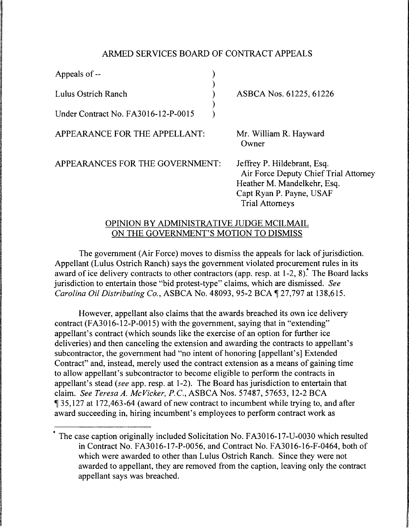## ARMED SERVICES BOARD OF CONTRACT APPEALS

| Appeals of --                       |  |
|-------------------------------------|--|
| Lulus Ostrich Ranch                 |  |
| Under Contract No. FA3016-12-P-0015 |  |

ASBCA Nos. 61225, 61226

APPEARANCE FOR THE APPELLANT:

Mr. William R. Hayward Owner

APPEARANCES FOR THE GOVERNMENT:

Jeffrey P. Hildebrant, Esq. Air Force Deputy Chief Trial Attorney Heather M. Mandelkehr, Esq. Capt Ryan P. Payne, USAF Trial Attorneys

## OPINION BY ADMINISTRATIVE JUDGE MCILMAIL ON THE GOVERNMENT'S MOTION TO DISMISS

The government (Air Force) moves to dismiss the appeals for lack of jurisdiction. Appellant (Lulus Ostrich Ranch) says the government violated procurement rules in its award of ice delivery contracts to other contractors (app. resp. at  $1-2$ , 8).<sup>\*</sup> The Board lacks jurisdiction to entertain those "bid protest-type" claims, which are dismissed. *See Carolina Oil Distributing Co., ASBCA No.* 48093, 95-2 BCA 127,797 at 138,615.

However, appellant also claims that the awards breached its own ice delivery contract (FA3016-12-P-0015) with the government, saying that in "extending" appellant's contract (which sounds like the exercise of an option for further ice deliveries) and then canceling the extension and awarding the contracts to appellant's subcontractor, the government had "no intent of honoring [appellant's] Extended Contract" and, instead, merely used the contract extension as a means of gaining time to allow appellant's subcontractor to become eligible to perform the contracts in appellant's stead *(see* app. resp. at 1-2). The Board has jurisdiction to entertain that claim. *See Teresa A. Mc Vicker, P.C.,* ASBCA Nos. 57487, 57653, 12-2 BCA 135, 127 at 172, 463-64 (award of new contract to incumbent while trying to, and after award succeeding in, hiring incumbent's employees to perform contract work as

The case caption originally included Solicitation No. FA3016-17-U-0030 which resulted in Contract No. FA3016-17-P-0056, and Contract No. FA3016-16-F-0464, both of which were awarded to other than Lulus Ostrich Ranch. Since they were not awarded to appellant, they are removed from the caption, leaving only the contract appellant says was breached.